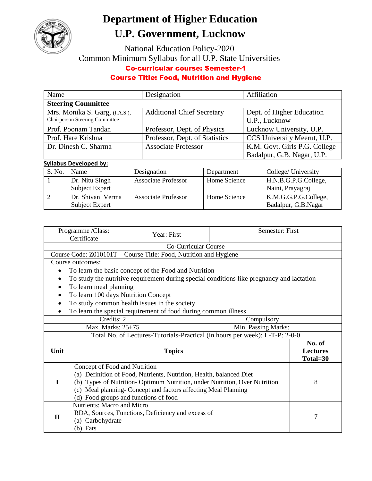

## **Department of Higher Education U.P. Government, Lucknow**

National Education Policy-2020 Common Minimum Syllabus for all U.P. State Universities

## Co-curricular course: Semester-1

## Course Title: Food, Nutrition and Hygiene

| Name                                  | Designation                       | Affiliation                   |  |  |  |  |
|---------------------------------------|-----------------------------------|-------------------------------|--|--|--|--|
| <b>Steering Committee</b>             |                                   |                               |  |  |  |  |
| Mrs. Monika S. Garg, (I.A.S.),        | <b>Additional Chief Secretary</b> | Dept. of Higher Education     |  |  |  |  |
| <b>Chairperson Steering Committee</b> |                                   | U.P., Lucknow                 |  |  |  |  |
| Prof. Poonam Tandan                   | Professor, Dept. of Physics       | Lucknow University, U.P.      |  |  |  |  |
| Prof. Hare Krishna                    | Professor, Dept. of Statistics    | CCS University Meerut, U.P.   |  |  |  |  |
| Dr. Dinesh C. Sharma                  | <b>Associate Professor</b>        | K.M. Govt. Girls P.G. College |  |  |  |  |
|                                       |                                   | Badalpur, G.B. Nagar, U.P.    |  |  |  |  |

## **Syllabus Developed by:**

| S. No. | Name              | Designation                | Department   | College/ University  |
|--------|-------------------|----------------------------|--------------|----------------------|
|        | Dr. Nitu Singh    | <b>Associate Professor</b> | Home Science | H.N.B.G.P.G.College, |
|        | Subject Expert    |                            |              | Naini, Prayagraj     |
|        | Dr. Shivani Verma | <b>Associate Professor</b> | Home Science | K.M.G.G.P.G.College, |
|        | Subject Expert    |                            |              | Badalpur, G.B.Nagar  |

|                                          | Programme /Class:<br>Certificate                                                                     | Year: First                                                    |                             | Semester: First                                                                           |  |  |
|------------------------------------------|------------------------------------------------------------------------------------------------------|----------------------------------------------------------------|-----------------------------|-------------------------------------------------------------------------------------------|--|--|
|                                          | Co-Curricular Course                                                                                 |                                                                |                             |                                                                                           |  |  |
|                                          | Course Code: Z010101T<br>Course Title: Food, Nutrition and Hygiene                                   |                                                                |                             |                                                                                           |  |  |
|                                          | Course outcomes:                                                                                     |                                                                |                             |                                                                                           |  |  |
|                                          |                                                                                                      | To learn the basic concept of the Food and Nutrition           |                             |                                                                                           |  |  |
|                                          |                                                                                                      |                                                                |                             | To study the nutritive requirement during special conditions like pregnancy and lactation |  |  |
|                                          | To learn meal planning                                                                               |                                                                |                             |                                                                                           |  |  |
|                                          |                                                                                                      | To learn 100 days Nutrition Concept                            |                             |                                                                                           |  |  |
| $\bullet$                                |                                                                                                      | To study common health issues in the society                   |                             |                                                                                           |  |  |
|                                          |                                                                                                      | To learn the special requirement of food during common illness |                             |                                                                                           |  |  |
| Credits: 2<br>Compulsory                 |                                                                                                      |                                                                |                             |                                                                                           |  |  |
| Max. Marks: 25+75<br>Min. Passing Marks: |                                                                                                      |                                                                |                             |                                                                                           |  |  |
|                                          |                                                                                                      |                                                                |                             | Total No. of Lectures-Tutorials-Practical (in hours per week): L-T-P: 2-0-0               |  |  |
|                                          |                                                                                                      |                                                                |                             | No. of                                                                                    |  |  |
| Unit                                     | <b>Topics</b>                                                                                        |                                                                | <b>Lectures</b><br>Total=30 |                                                                                           |  |  |
|                                          |                                                                                                      |                                                                |                             |                                                                                           |  |  |
|                                          | Concept of Food and Nutrition<br>(a) Definition of Food, Nutrients, Nutrition, Health, balanced Diet |                                                                |                             |                                                                                           |  |  |
| T                                        | (b) Types of Nutrition-Optimum Nutrition, under Nutrition, Over Nutrition                            |                                                                |                             | 8                                                                                         |  |  |
|                                          | (c) Meal planning- Concept and factors affecting Meal Planning                                       |                                                                |                             |                                                                                           |  |  |
|                                          | (d) Food groups and functions of food                                                                |                                                                |                             |                                                                                           |  |  |
|                                          | <b>Nutrients: Macro and Micro</b>                                                                    |                                                                |                             |                                                                                           |  |  |
| $\mathbf{H}$                             | RDA, Sources, Functions, Deficiency and excess of                                                    |                                                                |                             | 7                                                                                         |  |  |
|                                          | (a) Carbohydrate                                                                                     |                                                                |                             |                                                                                           |  |  |
|                                          | (b) Fats                                                                                             |                                                                |                             |                                                                                           |  |  |